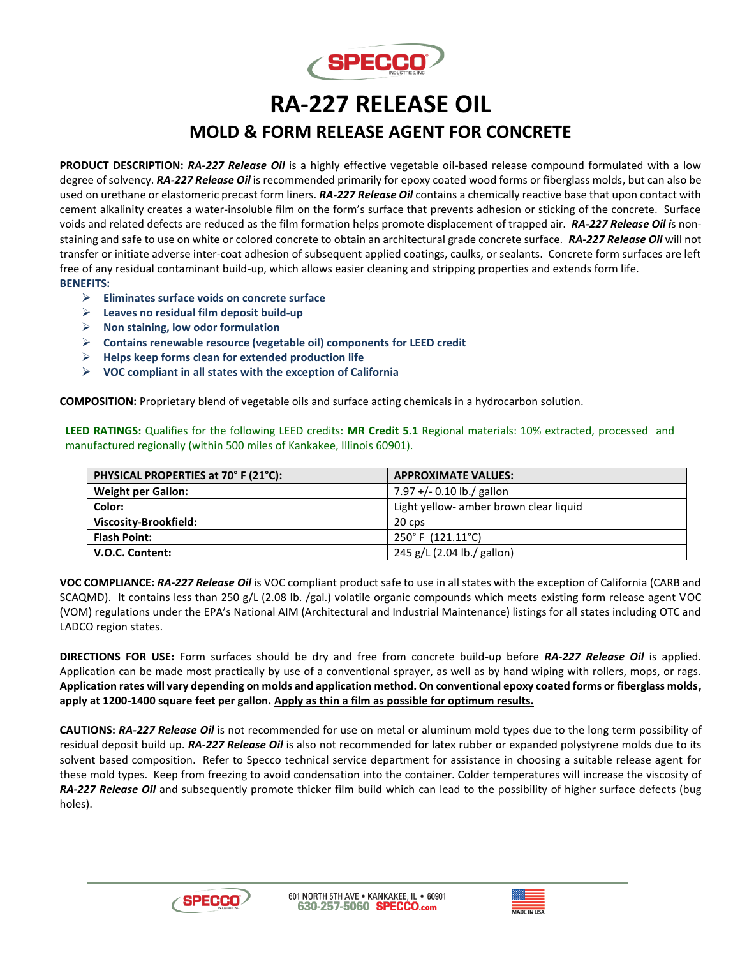

## **RA-227 RELEASE OIL MOLD & FORM RELEASE AGENT FOR CONCRETE**

**PRODUCT DESCRIPTION:** *RA-227 Release Oil* is a highly effective vegetable oil-based release compound formulated with a low degree of solvency. *RA-227 Release Oil* is recommended primarily for epoxy coated wood forms or fiberglass molds, but can also be used on urethane or elastomeric precast form liners. *RA-227 Release Oil* contains a chemically reactive base that upon contact with cement alkalinity creates a water-insoluble film on the form's surface that prevents adhesion or sticking of the concrete. Surface voids and related defects are reduced as the film formation helps promote displacement of trapped air. *RA-227 Release Oil i*s nonstaining and safe to use on white or colored concrete to obtain an architectural grade concrete surface. *RA-227 Release Oil* will not transfer or initiate adverse inter-coat adhesion of subsequent applied coatings, caulks, or sealants. Concrete form surfaces are left free of any residual contaminant build-up, which allows easier cleaning and stripping properties and extends form life. **BENEFITS:**

- ➢ **Eliminates surface voids on concrete surface**
- ➢ **Leaves no residual film deposit build-up**
- ➢ **Non staining, low odor formulation**
- ➢ **Contains renewable resource (vegetable oil) components for LEED credit**
- ➢ **Helps keep forms clean for extended production life**
- ➢ **VOC compliant in all states with the exception of California**

**COMPOSITION:** Proprietary blend of vegetable oils and surface acting chemicals in a hydrocarbon solution.

**LEED RATINGS:** Qualifies for the following LEED credits: **MR Credit 5.1** Regional materials: 10% extracted, processed and manufactured regionally (within 500 miles of Kankakee, Illinois 60901).

| PHYSICAL PROPERTIES at 70° F (21°C): | <b>APPROXIMATE VALUES:</b>             |
|--------------------------------------|----------------------------------------|
| <b>Weight per Gallon:</b>            | 7.97 +/- 0.10 lb./ gallon              |
| Color:                               | Light yellow- amber brown clear liquid |
| Viscosity-Brookfield:                | 20 cps                                 |
| <b>Flash Point:</b>                  | 250°F (121.11°C)                       |
| V.O.C. Content:                      | 245 g/L (2.04 lb./ gallon)             |

**VOC COMPLIANCE:** *RA-227 Release Oil* is VOC compliant product safe to use in all states with the exception of California (CARB and SCAQMD). It contains less than 250 g/L (2.08 lb. /gal.) volatile organic compounds which meets existing form release agent VOC (VOM) regulations under the EPA's National AIM (Architectural and Industrial Maintenance) listings for all states including OTC and LADCO region states.

**DIRECTIONS FOR USE:** Form surfaces should be dry and free from concrete build-up before *RA-227 Release Oil* is applied. Application can be made most practically by use of a conventional sprayer, as well as by hand wiping with rollers, mops, or rags. **Application rates will vary depending on molds and application method. On conventional epoxy coated forms or fiberglass molds, apply at 1200-1400 square feet per gallon. Apply as thin a film as possible for optimum results.**

**CAUTIONS:** *RA-227 Release Oil* is not recommended for use on metal or aluminum mold types due to the long term possibility of residual deposit build up. *RA-227 Release Oil* is also not recommended for latex rubber or expanded polystyrene molds due to its solvent based composition. Refer to Specco technical service department for assistance in choosing a suitable release agent for these mold types. Keep from freezing to avoid condensation into the container. Colder temperatures will increase the viscosity of *RA-227 Release Oil* and subsequently promote thicker film build which can lead to the possibility of higher surface defects (bug holes).